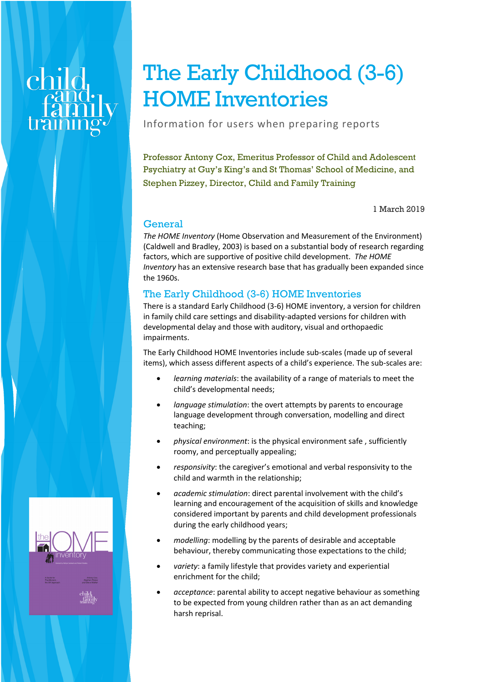# The Early Childhood (3-6) HOME Inventories

Information for users when preparing reports

Professor Antony Cox, Emeritus Professor of Child and Adolescent Psychiatry at Guy's King's and St Thomas' School of Medicine, and Stephen Pizzey, Director, Child and Family Training

1 March 2019

# General

*The HOME Inventory* (Home Observation and Measurement of the Environment) (Caldwell and Bradley, 2003) is based on a substantial body of research regarding factors, which are supportive of positive child development. *The HOME Inventory* has an extensive research base that has gradually been expanded since the 1960s.

# The Early Childhood (3-6) HOME Inventories

There is a standard Early Childhood (3-6) HOME inventory, a version for children in family child care settings and disability-adapted versions for children with developmental delay and those with auditory, visual and orthopaedic impairments.

The Early Childhood HOME Inventories include sub-scales (made up of several items), which assess different aspects of a child's experience. The sub-scales are:

- *learning materials*: the availability of a range of materials to meet the child's developmental needs;
- *language stimulation*: the overt attempts by parents to encourage language development through conversation, modelling and direct teaching;
- *physical environment*: is the physical environment safe , sufficiently roomy, and perceptually appealing;
- *responsivity*: the caregiver's emotional and verbal responsivity to the child and warmth in the relationship;
- *academic stimulation*: direct parental involvement with the child's learning and encouragement of the acquisition of skills and knowledge considered important by parents and child development professionals during the early childhood years;
- *modelling*: modelling by the parents of desirable and acceptable behaviour, thereby communicating those expectations to the child;
- *variety*: a family lifestyle that provides variety and experiential enrichment for the child;
- *acceptance*: parental ability to accept negative behaviour as something to be expected from young children rather than as an act demanding harsh reprisal.